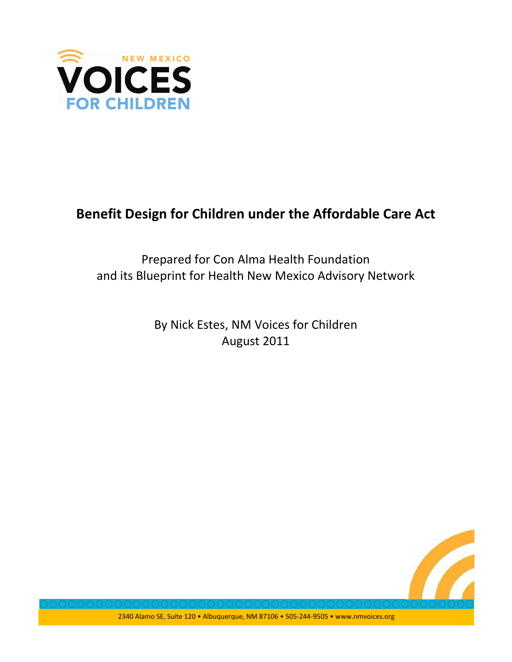

# Benefit Design for Children under the Affordable Care Act

# Prepared for Con Alma Health Foundation and its Blueprint for Health New Mexico Advisory Network

By Nick Estes, NM Voices for Children August 2011

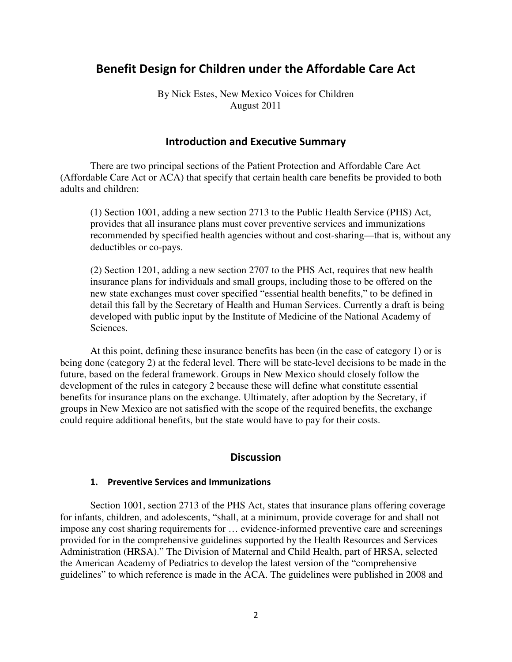# Benefit Design for Children under the Affordable Care Act

By Nick Estes, New Mexico Voices for Children August 2011

#### **Introduction and Executive Summary**

There are two principal sections of the Patient Protection and Affordable Care Act (Affordable Care Act or ACA) that specify that certain health care benefits be provided to both adults and children:

(1) Section 1001, adding a new section 2713 to the Public Health Service (PHS) Act, provides that all insurance plans must cover preventive services and immunizations recommended by specified health agencies without and cost-sharing—that is, without any deductibles or co-pays.

(2) Section 1201, adding a new section 2707 to the PHS Act, requires that new health insurance plans for individuals and small groups, including those to be offered on the new state exchanges must cover specified "essential health benefits," to be defined in detail this fall by the Secretary of Health and Human Services. Currently a draft is being developed with public input by the Institute of Medicine of the National Academy of Sciences.

At this point, defining these insurance benefits has been (in the case of category 1) or is being done (category 2) at the federal level. There will be state-level decisions to be made in the future, based on the federal framework. Groups in New Mexico should closely follow the development of the rules in category 2 because these will define what constitute essential benefits for insurance plans on the exchange. Ultimately, after adoption by the Secretary, if groups in New Mexico are not satisfied with the scope of the required benefits, the exchange could require additional benefits, but the state would have to pay for their costs.

## **Discussion**

#### 1. Preventive Services and Immunizations

Section 1001, section 2713 of the PHS Act, states that insurance plans offering coverage for infants, children, and adolescents, "shall, at a minimum, provide coverage for and shall not impose any cost sharing requirements for … evidence-informed preventive care and screenings provided for in the comprehensive guidelines supported by the Health Resources and Services Administration (HRSA)." The Division of Maternal and Child Health, part of HRSA, selected the American Academy of Pediatrics to develop the latest version of the "comprehensive guidelines" to which reference is made in the ACA. The guidelines were published in 2008 and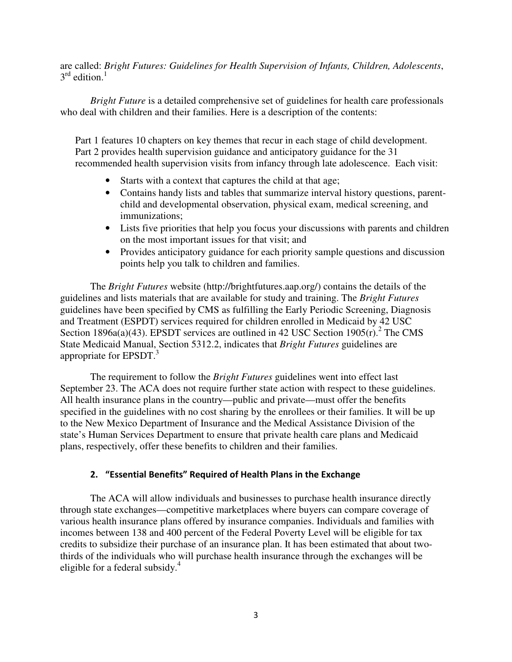are called: *Bright Futures: Guidelines for Health Supervision of Infants, Children, Adolescents*,  $3<sup>rd</sup>$  edition.<sup>1</sup>

*Bright Future* is a detailed comprehensive set of guidelines for health care professionals who deal with children and their families. Here is a description of the contents:

Part 1 features 10 chapters on key themes that recur in each stage of child development. Part 2 provides health supervision guidance and anticipatory guidance for the 31 recommended health supervision visits from infancy through late adolescence. Each visit:

- Starts with a context that captures the child at that age;
- Contains handy lists and tables that summarize interval history questions, parentchild and developmental observation, physical exam, medical screening, and immunizations;
- Lists five priorities that help you focus your discussions with parents and children on the most important issues for that visit; and
- Provides anticipatory guidance for each priority sample questions and discussion points help you talk to children and families.

The *Bright Futures* website (http://brightfutures.aap.org/) contains the details of the guidelines and lists materials that are available for study and training. The *Bright Futures* guidelines have been specified by CMS as fulfilling the Early Periodic Screening, Diagnosis and Treatment (ESPDT) services required for children enrolled in Medicaid by 42 USC Section 1896a(a)(43). EPSDT services are outlined in 42 USC Section 1905 $(r)$ . The CMS State Medicaid Manual, Section 5312.2, indicates that *Bright Futures* guidelines are appropriate for EPSDT.<sup>3</sup>

The requirement to follow the *Bright Futures* guidelines went into effect last September 23. The ACA does not require further state action with respect to these guidelines. All health insurance plans in the country—public and private—must offer the benefits specified in the guidelines with no cost sharing by the enrollees or their families. It will be up to the New Mexico Department of Insurance and the Medical Assistance Division of the state's Human Services Department to ensure that private health care plans and Medicaid plans, respectively, offer these benefits to children and their families.

#### 2. "Essential Benefits" Required of Health Plans in the Exchange

The ACA will allow individuals and businesses to purchase health insurance directly through state exchanges—competitive marketplaces where buyers can compare coverage of various health insurance plans offered by insurance companies. Individuals and families with incomes between 138 and 400 percent of the Federal Poverty Level will be eligible for tax credits to subsidize their purchase of an insurance plan. It has been estimated that about twothirds of the individuals who will purchase health insurance through the exchanges will be eligible for a federal subsidy. $4$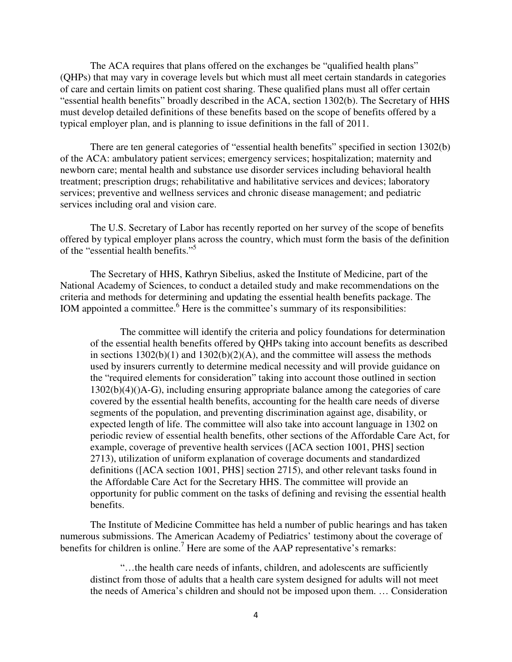The ACA requires that plans offered on the exchanges be "qualified health plans" (QHPs) that may vary in coverage levels but which must all meet certain standards in categories of care and certain limits on patient cost sharing. These qualified plans must all offer certain "essential health benefits" broadly described in the ACA, section 1302(b). The Secretary of HHS must develop detailed definitions of these benefits based on the scope of benefits offered by a typical employer plan, and is planning to issue definitions in the fall of 2011.

There are ten general categories of "essential health benefits" specified in section 1302(b) of the ACA: ambulatory patient services; emergency services; hospitalization; maternity and newborn care; mental health and substance use disorder services including behavioral health treatment; prescription drugs; rehabilitative and habilitative services and devices; laboratory services; preventive and wellness services and chronic disease management; and pediatric services including oral and vision care.

The U.S. Secretary of Labor has recently reported on her survey of the scope of benefits offered by typical employer plans across the country, which must form the basis of the definition of the "essential health benefits."5

The Secretary of HHS, Kathryn Sibelius, asked the Institute of Medicine, part of the National Academy of Sciences, to conduct a detailed study and make recommendations on the criteria and methods for determining and updating the essential health benefits package. The IOM appointed a committee.<sup>6</sup> Here is the committee's summary of its responsibilities:

The committee will identify the criteria and policy foundations for determination of the essential health benefits offered by QHPs taking into account benefits as described in sections  $1302(b)(1)$  and  $1302(b)(2)(A)$ , and the committee will assess the methods used by insurers currently to determine medical necessity and will provide guidance on the "required elements for consideration" taking into account those outlined in section 1302(b)(4)()A-G), including ensuring appropriate balance among the categories of care covered by the essential health benefits, accounting for the health care needs of diverse segments of the population, and preventing discrimination against age, disability, or expected length of life. The committee will also take into account language in 1302 on periodic review of essential health benefits, other sections of the Affordable Care Act, for example, coverage of preventive health services ([ACA section 1001, PHS] section 2713), utilization of uniform explanation of coverage documents and standardized definitions ([ACA section 1001, PHS] section 2715), and other relevant tasks found in the Affordable Care Act for the Secretary HHS. The committee will provide an opportunity for public comment on the tasks of defining and revising the essential health benefits.

The Institute of Medicine Committee has held a number of public hearings and has taken numerous submissions. The American Academy of Pediatrics' testimony about the coverage of benefits for children is online.<sup>7</sup> Here are some of the AAP representative's remarks:

"…the health care needs of infants, children, and adolescents are sufficiently distinct from those of adults that a health care system designed for adults will not meet the needs of America's children and should not be imposed upon them. … Consideration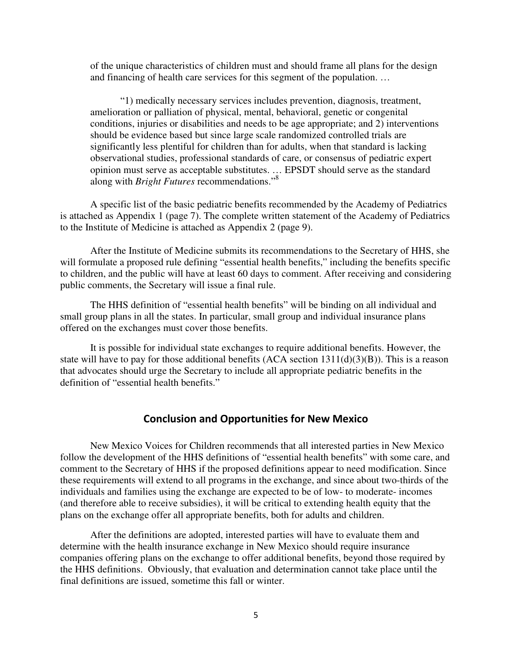of the unique characteristics of children must and should frame all plans for the design and financing of health care services for this segment of the population. …

"1) medically necessary services includes prevention, diagnosis, treatment, amelioration or palliation of physical, mental, behavioral, genetic or congenital conditions, injuries or disabilities and needs to be age appropriate; and 2) interventions should be evidence based but since large scale randomized controlled trials are significantly less plentiful for children than for adults, when that standard is lacking observational studies, professional standards of care, or consensus of pediatric expert opinion must serve as acceptable substitutes. … EPSDT should serve as the standard along with *Bright Futures* recommendations."8

A specific list of the basic pediatric benefits recommended by the Academy of Pediatrics is attached as Appendix 1 (page 7). The complete written statement of the Academy of Pediatrics to the Institute of Medicine is attached as Appendix 2 (page 9).

After the Institute of Medicine submits its recommendations to the Secretary of HHS, she will formulate a proposed rule defining "essential health benefits," including the benefits specific to children, and the public will have at least 60 days to comment. After receiving and considering public comments, the Secretary will issue a final rule.

The HHS definition of "essential health benefits" will be binding on all individual and small group plans in all the states. In particular, small group and individual insurance plans offered on the exchanges must cover those benefits.

It is possible for individual state exchanges to require additional benefits. However, the state will have to pay for those additional benefits (ACA section 1311(d)(3)(B)). This is a reason that advocates should urge the Secretary to include all appropriate pediatric benefits in the definition of "essential health benefits."

#### **Conclusion and Opportunities for New Mexico**

New Mexico Voices for Children recommends that all interested parties in New Mexico follow the development of the HHS definitions of "essential health benefits" with some care, and comment to the Secretary of HHS if the proposed definitions appear to need modification. Since these requirements will extend to all programs in the exchange, and since about two-thirds of the individuals and families using the exchange are expected to be of low- to moderate- incomes (and therefore able to receive subsidies), it will be critical to extending health equity that the plans on the exchange offer all appropriate benefits, both for adults and children.

After the definitions are adopted, interested parties will have to evaluate them and determine with the health insurance exchange in New Mexico should require insurance companies offering plans on the exchange to offer additional benefits, beyond those required by the HHS definitions. Obviously, that evaluation and determination cannot take place until the final definitions are issued, sometime this fall or winter.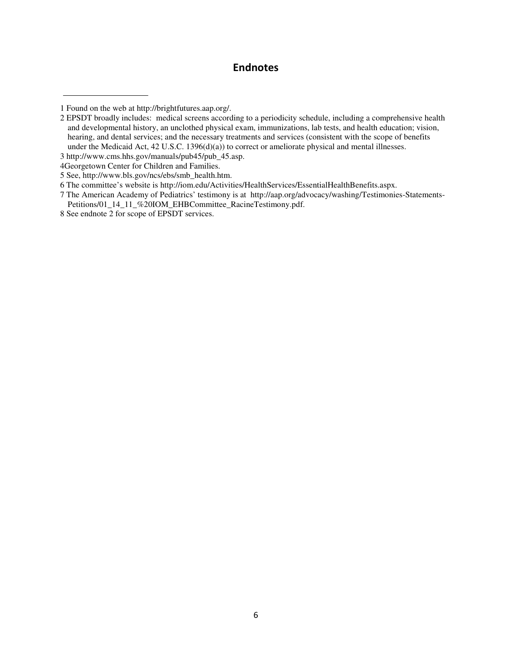# **Endnotes**

<sup>1</sup> Found on the web at http://brightfutures.aap.org/.

<sup>2</sup> EPSDT broadly includes: medical screens according to a periodicity schedule, including a comprehensive health and developmental history, an unclothed physical exam, immunizations, lab tests, and health education; vision, hearing, and dental services; and the necessary treatments and services (consistent with the scope of benefits under the Medicaid Act, 42 U.S.C. 1396(d)(a)) to correct or ameliorate physical and mental illnesses.

<sup>3</sup> http://www.cms.hhs.gov/manuals/pub45/pub\_45.asp.

<sup>4</sup>Georgetown Center for Children and Families.

<sup>5</sup> See, http://www.bls.gov/ncs/ebs/smb\_health.htm.

<sup>6</sup> The committee's website is http://iom.edu/Activities/HealthServices/EssentialHealthBenefits.aspx.

<sup>7</sup> The American Academy of Pediatrics' testimony is at http://aap.org/advocacy/washing/Testimonies-Statements-Petitions/01\_14\_11\_%20IOM\_EHBCommittee\_RacineTestimony.pdf.

<sup>8</sup> See endnote 2 for scope of EPSDT services.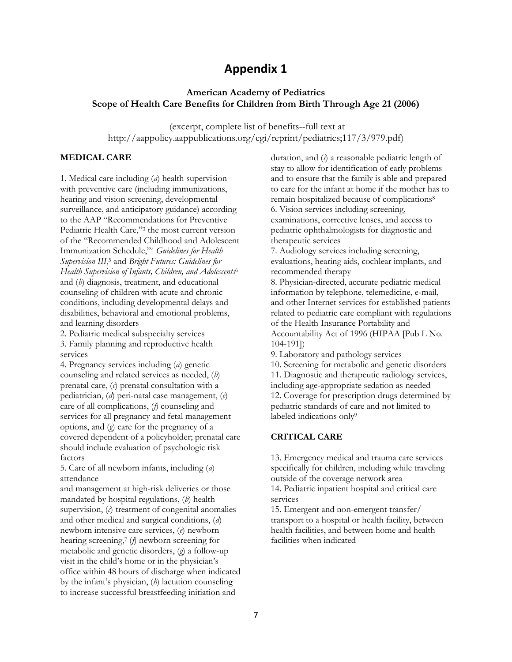# **Appendix 1**

#### **American Academy of Pediatrics** Scope of Health Care Benefits for Children from Birth Through Age 21 (2006)

(excerpt, complete list of benefits--full text at http://aappolicy.aappublications.org/cgi/reprint/pediatrics;117/3/979.pdf)

#### **MEDICAL CARE**

1. Medical care including  $(a)$  health supervision with preventive care (including immunizations, hearing and vision screening, developmental surveillance, and anticipatory guidance) according to the AAP "Recommendations for Preventive Pediatric Health Care,"3 the most current version of the "Recommended Childhood and Adolescent Immunization Schedule,"<sup>4</sup> Guidelines for Health Supervision III,<sup>5</sup> and Bright Futures: Guidelines for Health Supervision of Infants, Children, and Adolescents<sup>6</sup> and  $(b)$  diagnosis, treatment, and educational counseling of children with acute and chronic conditions, including developmental delays and disabilities, behavioral and emotional problems, and learning disorders

2. Pediatric medical subspecialty services 3. Family planning and reproductive health services

4. Pregnancy services including (a) genetic counseling and related services as needed, (b) prenatal care,  $(c)$  prenatal consultation with a pediatrician, (d) peri-natal case management, (e) care of all complications,  $(f)$  counseling and services for all pregnancy and fetal management options, and  $(q)$  care for the pregnancy of a covered dependent of a policyholder; prenatal care should include evaluation of psychologic risk factors

5. Care of all newborn infants, including (a) attendance

and management at high-risk deliveries or those mandated by hospital regulations,  $(b)$  health supervision,  $(c)$  treatment of congenital anomalies and other medical and surgical conditions, (d) newborn intensive care services, (e) newborn hearing screening,  $\phi$  newborn screening for metabolic and genetic disorders,  $(q)$  a follow-up visit in the child's home or in the physician's office within 48 hours of discharge when indicated by the infant's physician,  $(b)$  lactation counseling to increase successful breastfeeding initiation and

duration, and  $(i)$  a reasonable pediatric length of stay to allow for identification of early problems and to ensure that the family is able and prepared to care for the infant at home if the mother has to remain hospitalized because of complications<sup>8</sup> 6. Vision services including screening, examinations, corrective lenses, and access to pediatric ophthalmologists for diagnostic and therapeutic services

7. Audiology services including screening, evaluations, hearing aids, cochlear implants, and recommended therapy

8. Physician-directed, accurate pediatric medical information by telephone, telemedicine, e-mail, and other Internet services for established patients related to pediatric care compliant with regulations of the Health Insurance Portability and Accountability Act of 1996 (HIPAA [Pub L No.  $104 - 191$ 

9. Laboratory and pathology services 10. Screening for metabolic and genetic disorders 11. Diagnostic and therapeutic radiology services, including age-appropriate sedation as needed 12. Coverage for prescription drugs determined by pediatric standards of care and not limited to labeled indications only<sup>9</sup>

#### **CRITICAL CARE**

13. Emergency medical and trauma care services specifically for children, including while traveling outside of the coverage network area 14. Pediatric inpatient hospital and critical care

services

15. Emergent and non-emergent transfer/ transport to a hospital or health facility, between health facilities, and between home and health facilities when indicated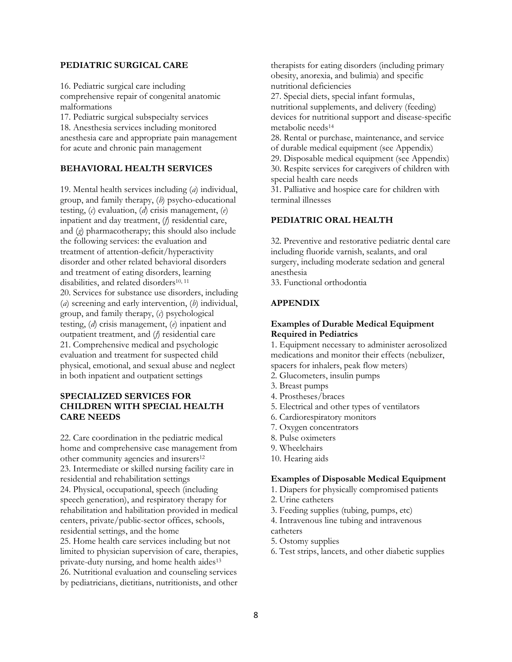#### PEDIATRIC SURGICAL CARE

16. Pediatric surgical care including comprehensive repair of congenital anatomic malformations

17. Pediatric surgical subspecialty services 18. Anesthesia services including monitored anesthesia care and appropriate pain management for acute and chronic pain management

#### **BEHAVIORAL HEALTH SERVICES**

19. Mental health services including  $(a)$  individual, group, and family therapy,  $(b)$  psycho-educational testing,  $(c)$  evaluation,  $(d)$  crisis management,  $(e)$ inpatient and day treatment, (f) residential care, and  $(g)$  pharmacotherapy; this should also include the following services: the evaluation and treatment of attention-deficit/hyperactivity disorder and other related behavioral disorders and treatment of eating disorders, learning disabilities, and related disorders<sup>10, 11</sup> 20. Services for substance use disorders, including ( $a$ ) screening and early intervention,  $(b)$  individual, group, and family therapy, (c) psychological testing,  $(d)$  crisis management,  $(e)$  inpatient and outpatient treatment, and  $(f)$  residential care 21. Comprehensive medical and psychologic evaluation and treatment for suspected child physical, emotional, and sexual abuse and neglect in both inpatient and outpatient settings

#### **SPECIALIZED SERVICES FOR CHILDREN WITH SPECIAL HEALTH CARE NEEDS**

22. Care coordination in the pediatric medical home and comprehensive case management from other community agencies and insurers<sup>12</sup> 23. Intermediate or skilled nursing facility care in residential and rehabilitation settings 24. Physical, occupational, speech (including speech generation), and respiratory therapy for rehabilitation and habilitation provided in medical centers, private/public-sector offices, schools, residential settings, and the home 25. Home health care services including but not limited to physician supervision of care, therapies, private-duty nursing, and home health aides<sup>13</sup> 26. Nutritional evaluation and counseling services by pediatricians, dietitians, nutritionists, and other therapists for eating disorders (including primary obesity, anorexia, and bulimia) and specific nutritional deficiencies

27. Special diets, special infant formulas, nutritional supplements, and delivery (feeding) devices for nutritional support and disease-specific metabolic needs<sup>14</sup>

28. Rental or purchase, maintenance, and service of durable medical equipment (see Appendix)

29. Disposable medical equipment (see Appendix) 30. Respite services for caregivers of children with

special health care needs 31. Palliative and hospice care for children with

terminal illnesses

## PEDIATRIC ORAL HEALTH

32. Preventive and restorative pediatric dental care including fluoride varnish, sealants, and oral surgery, including moderate sedation and general anesthesia

33. Functional orthodontia

#### **APPENDIX**

#### **Examples of Durable Medical Equipment Required in Pediatrics**

1. Equipment necessary to administer aerosolized medications and monitor their effects (nebulizer, spacers for inhalers, peak flow meters)

- 2. Glucometers, insulin pumps
- 3. Breast pumps
- 4. Prostheses/braces
- 5. Electrical and other types of ventilators
- 6. Cardiorespiratory monitors
- 7. Oxygen concentrators
- 8. Pulse oximeters
- 9. Wheelchairs
- 10. Hearing aids

#### **Examples of Disposable Medical Equipment**

1. Diapers for physically compromised patients

- 2. Urine catheters
- 3. Feeding supplies (tubing, pumps, etc)
- 4. Intravenous line tubing and intravenous catheters
- 5. Ostomy supplies
- 6. Test strips, lancets, and other diabetic supplies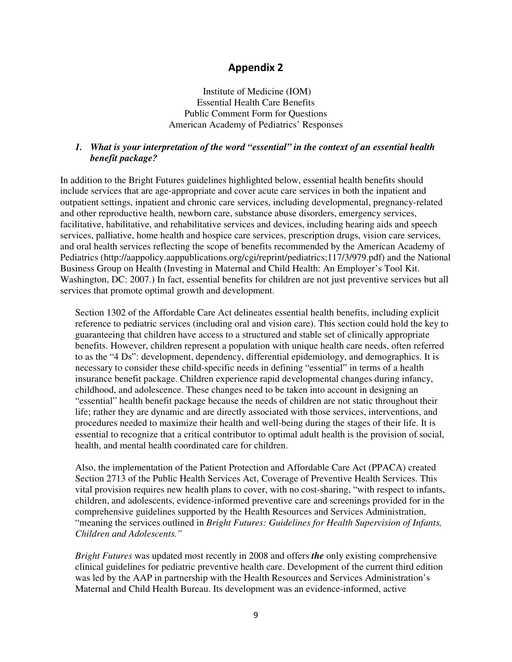# **Appendix 2**

Institute of Medicine (IOM) Essential Health Care Benefits Public Comment Form for Questions American Academy of Pediatrics' Responses

## *1. What is your interpretation of the word "essential" in the context of an essential health benefit package?*

In addition to the Bright Futures guidelines highlighted below, essential health benefits should include services that are age-appropriate and cover acute care services in both the inpatient and outpatient settings, inpatient and chronic care services, including developmental, pregnancy-related and other reproductive health, newborn care, substance abuse disorders, emergency services, facilitative, habilitative, and rehabilitative services and devices, including hearing aids and speech services, palliative, home health and hospice care services, prescription drugs, vision care services, and oral health services reflecting the scope of benefits recommended by the American Academy of Pediatrics (http://aappolicy.aappublications.org/cgi/reprint/pediatrics;117/3/979.pdf) and the National Business Group on Health (Investing in Maternal and Child Health: An Employer's Tool Kit. Washington, DC: 2007.) In fact, essential benefits for children are not just preventive services but all services that promote optimal growth and development.

Section 1302 of the Affordable Care Act delineates essential health benefits, including explicit reference to pediatric services (including oral and vision care). This section could hold the key to guaranteeing that children have access to a structured and stable set of clinically appropriate benefits. However, children represent a population with unique health care needs, often referred to as the "4 Ds": development, dependency, differential epidemiology, and demographics. It is necessary to consider these child-specific needs in defining "essential" in terms of a health insurance benefit package. Children experience rapid developmental changes during infancy, childhood, and adolescence. These changes need to be taken into account in designing an "essential" health benefit package because the needs of children are not static throughout their life; rather they are dynamic and are directly associated with those services, interventions, and procedures needed to maximize their health and well-being during the stages of their life. It is essential to recognize that a critical contributor to optimal adult health is the provision of social, health, and mental health coordinated care for children.

Also, the implementation of the Patient Protection and Affordable Care Act (PPACA) created Section 2713 of the Public Health Services Act, Coverage of Preventive Health Services. This vital provision requires new health plans to cover, with no cost-sharing, "with respect to infants, children, and adolescents, evidence-informed preventive care and screenings provided for in the comprehensive guidelines supported by the Health Resources and Services Administration, "meaning the services outlined in *Bright Futures: Guidelines for Health Supervision of Infants, Children and Adolescents."* 

*Bright Futures* was updated most recently in 2008 and offers *the* only existing comprehensive clinical guidelines for pediatric preventive health care. Development of the current third edition was led by the AAP in partnership with the Health Resources and Services Administration's Maternal and Child Health Bureau. Its development was an evidence-informed, active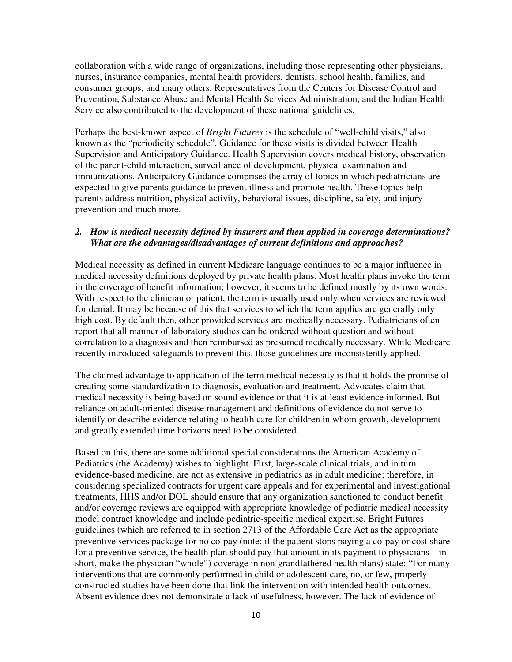collaboration with a wide range of organizations, including those representing other physicians, nurses, insurance companies, mental health providers, dentists, school health, families, and consumer groups, and many others. Representatives from the Centers for Disease Control and Prevention, Substance Abuse and Mental Health Services Administration, and the Indian Health Service also contributed to the development of these national guidelines.

Perhaps the best-known aspect of *Bright Futures* is the schedule of "well-child visits," also known as the "periodicity schedule". Guidance for these visits is divided between Health Supervision and Anticipatory Guidance. Health Supervision covers medical history, observation of the parent-child interaction, surveillance of development, physical examination and immunizations. Anticipatory Guidance comprises the array of topics in which pediatricians are expected to give parents guidance to prevent illness and promote health. These topics help parents address nutrition, physical activity, behavioral issues, discipline, safety, and injury prevention and much more.

#### *2. How is medical necessity defined by insurers and then applied in coverage determinations? What are the advantages/disadvantages of current definitions and approaches?*

Medical necessity as defined in current Medicare language continues to be a major influence in medical necessity definitions deployed by private health plans. Most health plans invoke the term in the coverage of benefit information; however, it seems to be defined mostly by its own words. With respect to the clinician or patient, the term is usually used only when services are reviewed for denial. It may be because of this that services to which the term applies are generally only high cost. By default then, other provided services are medically necessary. Pediatricians often report that all manner of laboratory studies can be ordered without question and without correlation to a diagnosis and then reimbursed as presumed medically necessary. While Medicare recently introduced safeguards to prevent this, those guidelines are inconsistently applied.

The claimed advantage to application of the term medical necessity is that it holds the promise of creating some standardization to diagnosis, evaluation and treatment. Advocates claim that medical necessity is being based on sound evidence or that it is at least evidence informed. But reliance on adult-oriented disease management and definitions of evidence do not serve to identify or describe evidence relating to health care for children in whom growth, development and greatly extended time horizons need to be considered.

Based on this, there are some additional special considerations the American Academy of Pediatrics (the Academy) wishes to highlight. First, large-scale clinical trials, and in turn evidence-based medicine, are not as extensive in pediatrics as in adult medicine; therefore, in considering specialized contracts for urgent care appeals and for experimental and investigational treatments, HHS and/or DOL should ensure that any organization sanctioned to conduct benefit and/or coverage reviews are equipped with appropriate knowledge of pediatric medical necessity model contract knowledge and include pediatric-specific medical expertise. Bright Futures guidelines (which are referred to in section 2713 of the Affordable Care Act as the appropriate preventive services package for no co-pay (note: if the patient stops paying a co-pay or cost share for a preventive service, the health plan should pay that amount in its payment to physicians – in short, make the physician "whole") coverage in non-grandfathered health plans) state: "For many interventions that are commonly performed in child or adolescent care, no, or few, properly constructed studies have been done that link the intervention with intended health outcomes. Absent evidence does not demonstrate a lack of usefulness, however. The lack of evidence of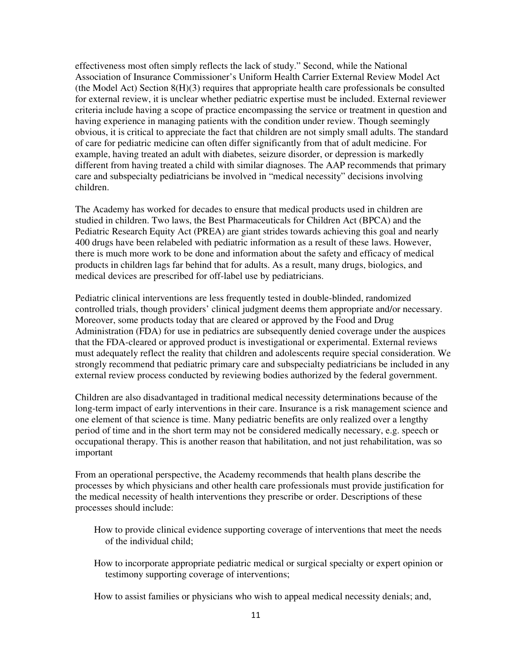effectiveness most often simply reflects the lack of study." Second, while the National Association of Insurance Commissioner's Uniform Health Carrier External Review Model Act (the Model Act) Section 8(H)(3) requires that appropriate health care professionals be consulted for external review, it is unclear whether pediatric expertise must be included. External reviewer criteria include having a scope of practice encompassing the service or treatment in question and having experience in managing patients with the condition under review. Though seemingly obvious, it is critical to appreciate the fact that children are not simply small adults. The standard of care for pediatric medicine can often differ significantly from that of adult medicine. For example, having treated an adult with diabetes, seizure disorder, or depression is markedly different from having treated a child with similar diagnoses. The AAP recommends that primary care and subspecialty pediatricians be involved in "medical necessity" decisions involving children.

The Academy has worked for decades to ensure that medical products used in children are studied in children. Two laws, the Best Pharmaceuticals for Children Act (BPCA) and the Pediatric Research Equity Act (PREA) are giant strides towards achieving this goal and nearly 400 drugs have been relabeled with pediatric information as a result of these laws. However, there is much more work to be done and information about the safety and efficacy of medical products in children lags far behind that for adults. As a result, many drugs, biologics, and medical devices are prescribed for off-label use by pediatricians.

Pediatric clinical interventions are less frequently tested in double-blinded, randomized controlled trials, though providers' clinical judgment deems them appropriate and/or necessary. Moreover, some products today that are cleared or approved by the Food and Drug Administration (FDA) for use in pediatrics are subsequently denied coverage under the auspices that the FDA-cleared or approved product is investigational or experimental. External reviews must adequately reflect the reality that children and adolescents require special consideration. We strongly recommend that pediatric primary care and subspecialty pediatricians be included in any external review process conducted by reviewing bodies authorized by the federal government.

Children are also disadvantaged in traditional medical necessity determinations because of the long-term impact of early interventions in their care. Insurance is a risk management science and one element of that science is time. Many pediatric benefits are only realized over a lengthy period of time and in the short term may not be considered medically necessary, e.g. speech or occupational therapy. This is another reason that habilitation, and not just rehabilitation, was so important

From an operational perspective, the Academy recommends that health plans describe the processes by which physicians and other health care professionals must provide justification for the medical necessity of health interventions they prescribe or order. Descriptions of these processes should include:

- How to provide clinical evidence supporting coverage of interventions that meet the needs of the individual child;
- How to incorporate appropriate pediatric medical or surgical specialty or expert opinion or testimony supporting coverage of interventions;

How to assist families or physicians who wish to appeal medical necessity denials; and,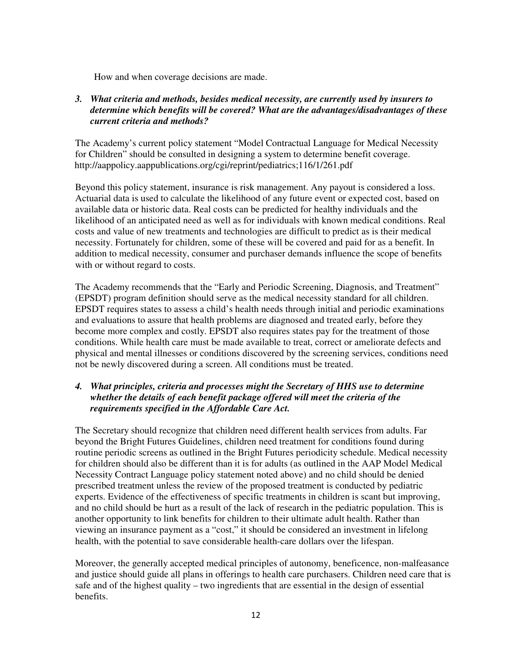How and when coverage decisions are made.

## *3. What criteria and methods, besides medical necessity, are currently used by insurers to determine which benefits will be covered? What are the advantages/disadvantages of these current criteria and methods?*

The Academy's current policy statement "Model Contractual Language for Medical Necessity for Children" should be consulted in designing a system to determine benefit coverage. http://aappolicy.aappublications.org/cgi/reprint/pediatrics;116/1/261.pdf

Beyond this policy statement, insurance is risk management. Any payout is considered a loss. Actuarial data is used to calculate the likelihood of any future event or expected cost, based on available data or historic data. Real costs can be predicted for healthy individuals and the likelihood of an anticipated need as well as for individuals with known medical conditions. Real costs and value of new treatments and technologies are difficult to predict as is their medical necessity. Fortunately for children, some of these will be covered and paid for as a benefit. In addition to medical necessity, consumer and purchaser demands influence the scope of benefits with or without regard to costs.

The Academy recommends that the "Early and Periodic Screening, Diagnosis, and Treatment" (EPSDT) program definition should serve as the medical necessity standard for all children. EPSDT requires states to assess a child's health needs through initial and periodic examinations and evaluations to assure that health problems are diagnosed and treated early, before they become more complex and costly. EPSDT also requires states pay for the treatment of those conditions. While health care must be made available to treat, correct or ameliorate defects and physical and mental illnesses or conditions discovered by the screening services, conditions need not be newly discovered during a screen. All conditions must be treated.

## *4. What principles, criteria and processes might the Secretary of HHS use to determine whether the details of each benefit package offered will meet the criteria of the requirements specified in the Affordable Care Act.*

The Secretary should recognize that children need different health services from adults. Far beyond the Bright Futures Guidelines, children need treatment for conditions found during routine periodic screens as outlined in the Bright Futures periodicity schedule. Medical necessity for children should also be different than it is for adults (as outlined in the AAP Model Medical Necessity Contract Language policy statement noted above) and no child should be denied prescribed treatment unless the review of the proposed treatment is conducted by pediatric experts. Evidence of the effectiveness of specific treatments in children is scant but improving, and no child should be hurt as a result of the lack of research in the pediatric population. This is another opportunity to link benefits for children to their ultimate adult health. Rather than viewing an insurance payment as a "cost," it should be considered an investment in lifelong health, with the potential to save considerable health-care dollars over the lifespan.

Moreover, the generally accepted medical principles of autonomy, beneficence, non-malfeasance and justice should guide all plans in offerings to health care purchasers. Children need care that is safe and of the highest quality – two ingredients that are essential in the design of essential benefits.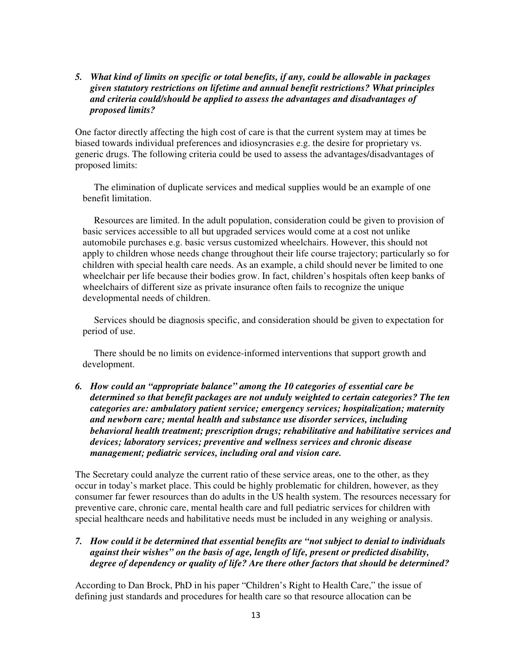#### *5. What kind of limits on specific or total benefits, if any, could be allowable in packages given statutory restrictions on lifetime and annual benefit restrictions? What principles and criteria could/should be applied to assess the advantages and disadvantages of proposed limits?*

One factor directly affecting the high cost of care is that the current system may at times be biased towards individual preferences and idiosyncrasies e.g. the desire for proprietary vs. generic drugs. The following criteria could be used to assess the advantages/disadvantages of proposed limits:

The elimination of duplicate services and medical supplies would be an example of one benefit limitation.

Resources are limited. In the adult population, consideration could be given to provision of basic services accessible to all but upgraded services would come at a cost not unlike automobile purchases e.g. basic versus customized wheelchairs. However, this should not apply to children whose needs change throughout their life course trajectory; particularly so for children with special health care needs. As an example, a child should never be limited to one wheelchair per life because their bodies grow. In fact, children's hospitals often keep banks of wheelchairs of different size as private insurance often fails to recognize the unique developmental needs of children.

Services should be diagnosis specific, and consideration should be given to expectation for period of use.

There should be no limits on evidence-informed interventions that support growth and development.

*6. How could an "appropriate balance" among the 10 categories of essential care be determined so that benefit packages are not unduly weighted to certain categories? The ten categories are: ambulatory patient service; emergency services; hospitalization; maternity and newborn care; mental health and substance use disorder services, including behavioral health treatment; prescription drugs; rehabilitative and habilitative services and devices; laboratory services; preventive and wellness services and chronic disease management; pediatric services, including oral and vision care.* 

The Secretary could analyze the current ratio of these service areas, one to the other, as they occur in today's market place. This could be highly problematic for children, however, as they consumer far fewer resources than do adults in the US health system. The resources necessary for preventive care, chronic care, mental health care and full pediatric services for children with special healthcare needs and habilitative needs must be included in any weighing or analysis.

*7. How could it be determined that essential benefits are "not subject to denial to individuals against their wishes" on the basis of age, length of life, present or predicted disability, degree of dependency or quality of life? Are there other factors that should be determined?* 

According to Dan Brock, PhD in his paper "Children's Right to Health Care," the issue of defining just standards and procedures for health care so that resource allocation can be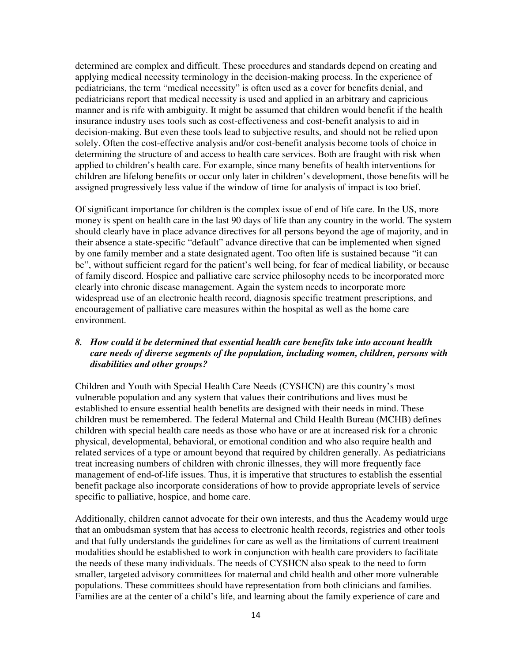determined are complex and difficult. These procedures and standards depend on creating and applying medical necessity terminology in the decision-making process. In the experience of pediatricians, the term "medical necessity" is often used as a cover for benefits denial, and pediatricians report that medical necessity is used and applied in an arbitrary and capricious manner and is rife with ambiguity. It might be assumed that children would benefit if the health insurance industry uses tools such as cost-effectiveness and cost-benefit analysis to aid in decision-making. But even these tools lead to subjective results, and should not be relied upon solely. Often the cost-effective analysis and/or cost-benefit analysis become tools of choice in determining the structure of and access to health care services. Both are fraught with risk when applied to children's health care. For example, since many benefits of health interventions for children are lifelong benefits or occur only later in children's development, those benefits will be assigned progressively less value if the window of time for analysis of impact is too brief.

Of significant importance for children is the complex issue of end of life care. In the US, more money is spent on health care in the last 90 days of life than any country in the world. The system should clearly have in place advance directives for all persons beyond the age of majority, and in their absence a state-specific "default" advance directive that can be implemented when signed by one family member and a state designated agent. Too often life is sustained because "it can be", without sufficient regard for the patient's well being, for fear of medical liability, or because of family discord. Hospice and palliative care service philosophy needs to be incorporated more clearly into chronic disease management. Again the system needs to incorporate more widespread use of an electronic health record, diagnosis specific treatment prescriptions, and encouragement of palliative care measures within the hospital as well as the home care environment.

#### *8. How could it be determined that essential health care benefits take into account health care needs of diverse segments of the population, including women, children, persons with disabilities and other groups?*

Children and Youth with Special Health Care Needs (CYSHCN) are this country's most vulnerable population and any system that values their contributions and lives must be established to ensure essential health benefits are designed with their needs in mind. These children must be remembered. The federal Maternal and Child Health Bureau (MCHB) defines children with special health care needs as those who have or are at increased risk for a chronic physical, developmental, behavioral, or emotional condition and who also require health and related services of a type or amount beyond that required by children generally. As pediatricians treat increasing numbers of children with chronic illnesses, they will more frequently face management of end-of-life issues. Thus, it is imperative that structures to establish the essential benefit package also incorporate considerations of how to provide appropriate levels of service specific to palliative, hospice, and home care.

Additionally, children cannot advocate for their own interests, and thus the Academy would urge that an ombudsman system that has access to electronic health records, registries and other tools and that fully understands the guidelines for care as well as the limitations of current treatment modalities should be established to work in conjunction with health care providers to facilitate the needs of these many individuals. The needs of CYSHCN also speak to the need to form smaller, targeted advisory committees for maternal and child health and other more vulnerable populations. These committees should have representation from both clinicians and families. Families are at the center of a child's life, and learning about the family experience of care and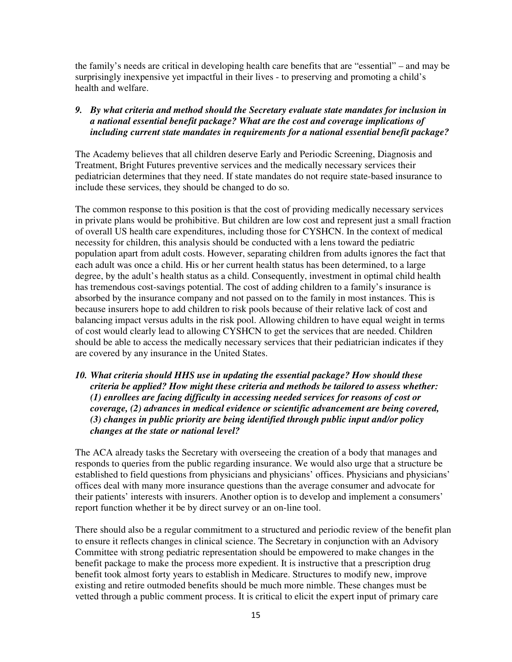the family's needs are critical in developing health care benefits that are "essential" – and may be surprisingly inexpensive yet impactful in their lives - to preserving and promoting a child's health and welfare.

## *9. By what criteria and method should the Secretary evaluate state mandates for inclusion in a national essential benefit package? What are the cost and coverage implications of including current state mandates in requirements for a national essential benefit package?*

The Academy believes that all children deserve Early and Periodic Screening, Diagnosis and Treatment, Bright Futures preventive services and the medically necessary services their pediatrician determines that they need. If state mandates do not require state-based insurance to include these services, they should be changed to do so.

The common response to this position is that the cost of providing medically necessary services in private plans would be prohibitive. But children are low cost and represent just a small fraction of overall US health care expenditures, including those for CYSHCN. In the context of medical necessity for children, this analysis should be conducted with a lens toward the pediatric population apart from adult costs. However, separating children from adults ignores the fact that each adult was once a child. His or her current health status has been determined, to a large degree, by the adult's health status as a child. Consequently, investment in optimal child health has tremendous cost-savings potential. The cost of adding children to a family's insurance is absorbed by the insurance company and not passed on to the family in most instances. This is because insurers hope to add children to risk pools because of their relative lack of cost and balancing impact versus adults in the risk pool. Allowing children to have equal weight in terms of cost would clearly lead to allowing CYSHCN to get the services that are needed. Children should be able to access the medically necessary services that their pediatrician indicates if they are covered by any insurance in the United States.

## *10. What criteria should HHS use in updating the essential package? How should these criteria be applied? How might these criteria and methods be tailored to assess whether: (1) enrollees are facing difficulty in accessing needed services for reasons of cost or coverage, (2) advances in medical evidence or scientific advancement are being covered, (3) changes in public priority are being identified through public input and/or policy changes at the state or national level?*

The ACA already tasks the Secretary with overseeing the creation of a body that manages and responds to queries from the public regarding insurance. We would also urge that a structure be established to field questions from physicians and physicians' offices. Physicians and physicians' offices deal with many more insurance questions than the average consumer and advocate for their patients' interests with insurers. Another option is to develop and implement a consumers' report function whether it be by direct survey or an on-line tool.

There should also be a regular commitment to a structured and periodic review of the benefit plan to ensure it reflects changes in clinical science. The Secretary in conjunction with an Advisory Committee with strong pediatric representation should be empowered to make changes in the benefit package to make the process more expedient. It is instructive that a prescription drug benefit took almost forty years to establish in Medicare. Structures to modify new, improve existing and retire outmoded benefits should be much more nimble. These changes must be vetted through a public comment process. It is critical to elicit the expert input of primary care